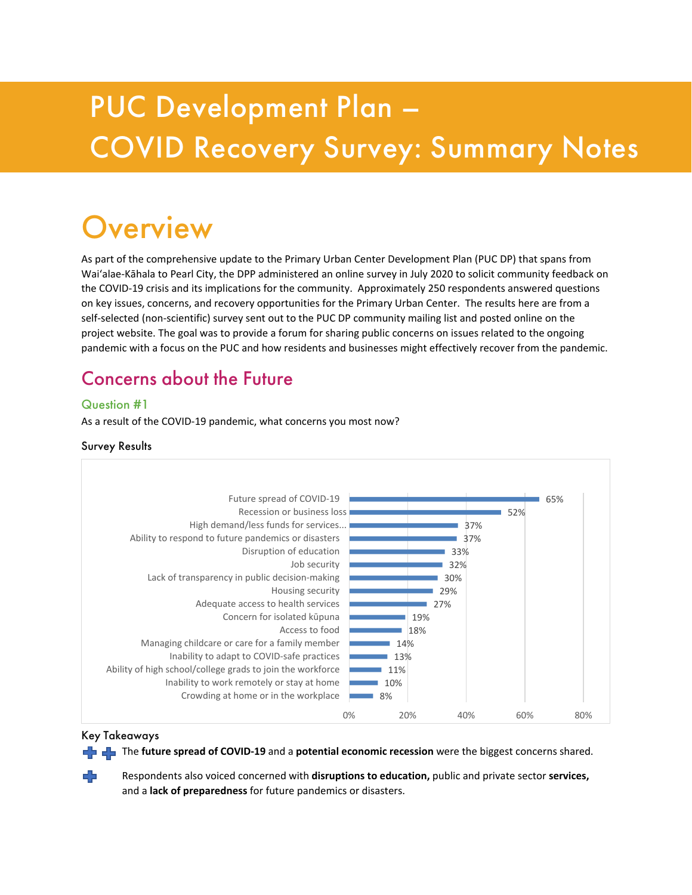# PUC Development Plan – COVID Recovery Survey: Summary Notes

# Overview

As part of the comprehensive update to the Primary Urban Center Development Plan (PUC DP) that spans from Wai'alae-Kāhala to Pearl City, the DPP administered an online survey in July 2020 to solicit community feedback on the COVID-19 crisis and its implications for the community. Approximately 250 respondents answered questions on key issues, concerns, and recovery opportunities for the Primary Urban Center. The results here are from a self-selected (non-scientific) survey sent out to the PUC DP community mailing list and posted online on the project website. The goal was to provide a forum for sharing public concerns on issues related to the ongoing pandemic with a focus on the PUC and how residents and businesses might effectively recover from the pandemic.

## Concerns about the Future

#### Question #1

As a result of the COVID-19 pandemic, what concerns you most now?

#### Survey Results



#### Key Takeaways

The **future spread of COVID-19** and a **potential economic recession** were the biggest concerns shared.

Respondents also voiced concerned with **disruptions to education,** public and private sector **services,** and a **lack of preparedness** for future pandemics or disasters.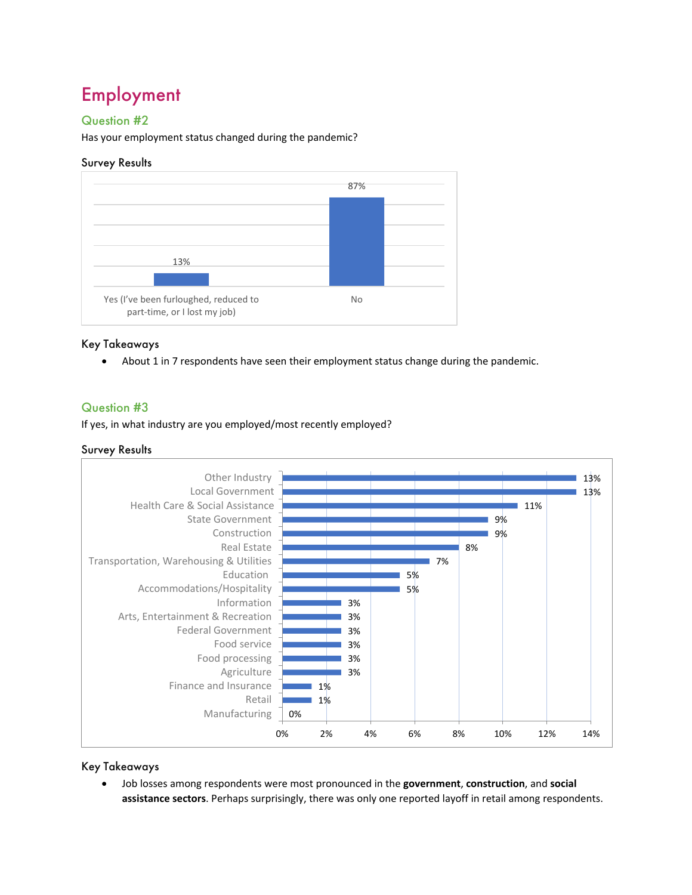# Employment

#### Question #2

Has your employment status changed during the pandemic?

#### Survey Results



#### Key Takeaways

About 1 in 7 respondents have seen their employment status change during the pandemic.

#### Question #3

If yes, in what industry are you employed/most recently employed?

#### Survey Results



Key Takeaways

• Job losses among respondents were most pronounced in the **government**, **construction**, and **social assistance sectors**. Perhaps surprisingly, there was only one reported layoff in retail among respondents.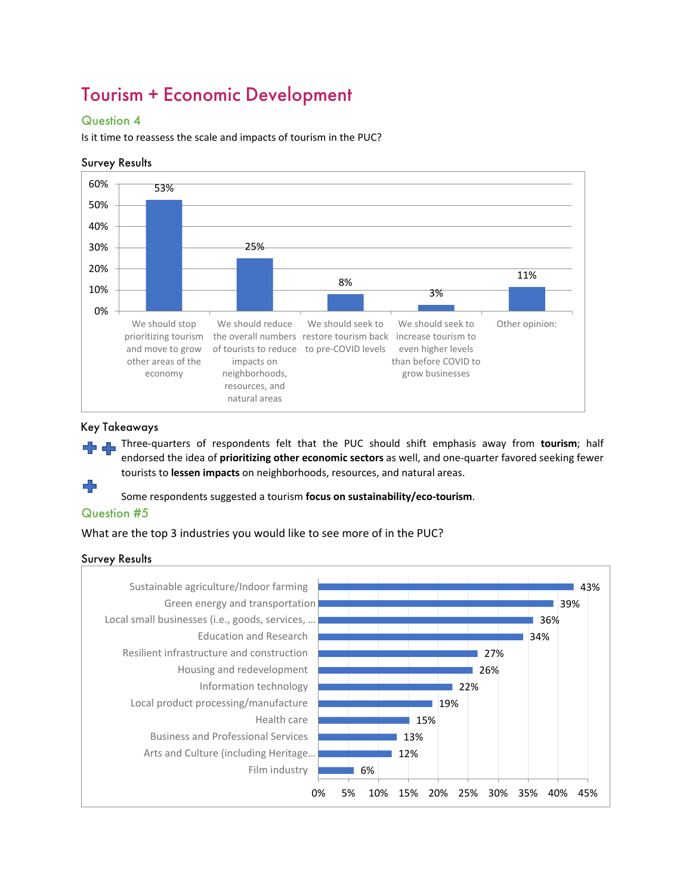# Tourism + Economic Development

#### Question 4

Is it time to reassess the scale and impacts of tourism in the PUC?

#### Survey Results



#### Key Takeaways

Three-quarters of respondents felt that the PUC should shift emphasis away from **tourism**; half endorsed the idea of **prioritizing other economic sectors** as well, and one-quarter favored seeking fewer tourists to **lessen impacts** on neighborhoods, resources, and natural areas.

Some respondents suggested a tourism **focus on sustainability/eco-tourism**.

#### Question #5

What are the top 3 industries you would like to see more of in the PUC?

#### Survey Results

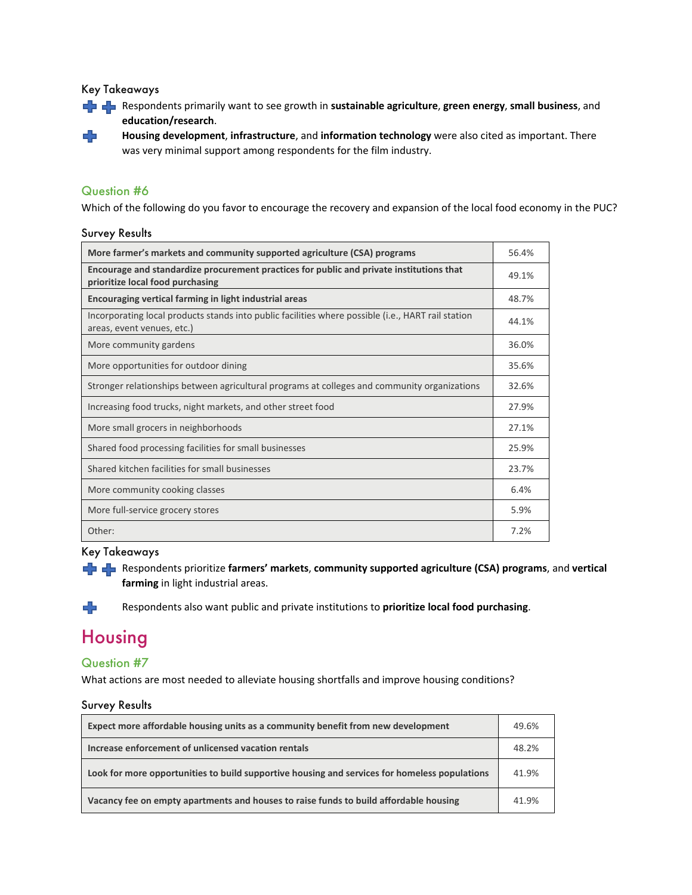Key Takeaways



**Housing development**, **infrastructure**, and **information technology** were also cited as important. There was very minimal support among respondents for the film industry.

#### Question #6

45

Which of the following do you favor to encourage the recovery and expansion of the local food economy in the PUC?

#### Survey Results

| More farmer's markets and community supported agriculture (CSA) programs                                                         | 56.4% |
|----------------------------------------------------------------------------------------------------------------------------------|-------|
| Encourage and standardize procurement practices for public and private institutions that<br>prioritize local food purchasing     | 49.1% |
| Encouraging vertical farming in light industrial areas                                                                           | 48.7% |
| Incorporating local products stands into public facilities where possible (i.e., HART rail station<br>areas, event venues, etc.) | 44.1% |
| More community gardens                                                                                                           | 36.0% |
| More opportunities for outdoor dining                                                                                            | 35.6% |
| Stronger relationships between agricultural programs at colleges and community organizations                                     | 32.6% |
| Increasing food trucks, night markets, and other street food                                                                     | 27.9% |
| More small grocers in neighborhoods                                                                                              | 27.1% |
| Shared food processing facilities for small businesses                                                                           | 25.9% |
| Shared kitchen facilities for small businesses                                                                                   | 23.7% |
| More community cooking classes                                                                                                   | 6.4%  |
| More full-service grocery stores                                                                                                 | 5.9%  |
| Other:                                                                                                                           | 7.2%  |

#### Key Takeaways

Respondents prioritize **farmers' markets**, **community supported agriculture (CSA) programs**, and **vertical farming** in light industrial areas.

Respondents also want public and private institutions to **prioritize local food purchasing**.

# Housing

43

#### Question #7

What actions are most needed to alleviate housing shortfalls and improve housing conditions?

#### Survey Results

| Expect more affordable housing units as a community benefit from new development              | 49.6% |
|-----------------------------------------------------------------------------------------------|-------|
| Increase enforcement of unlicensed vacation rentals                                           | 48.2% |
| Look for more opportunities to build supportive housing and services for homeless populations | 41.9% |
| Vacancy fee on empty apartments and houses to raise funds to build affordable housing         | 41.9% |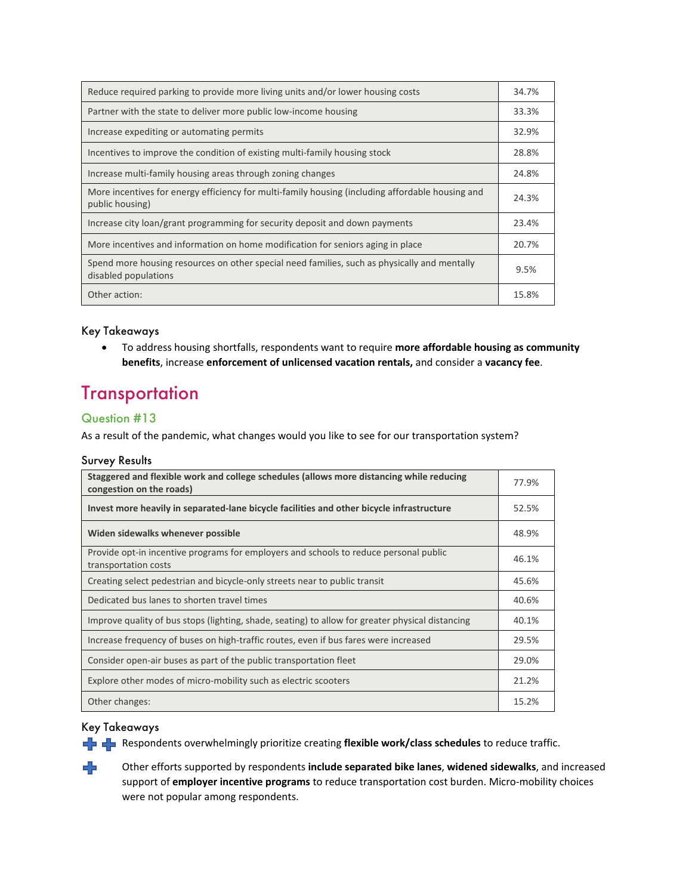| Reduce required parking to provide more living units and/or lower housing costs                                      | 34.7% |
|----------------------------------------------------------------------------------------------------------------------|-------|
| Partner with the state to deliver more public low-income housing                                                     | 33.3% |
| Increase expediting or automating permits                                                                            | 32.9% |
| Incentives to improve the condition of existing multi-family housing stock                                           | 28.8% |
| Increase multi-family housing areas through zoning changes                                                           | 24.8% |
| More incentives for energy efficiency for multi-family housing (including affordable housing and<br>public housing)  | 24.3% |
| Increase city loan/grant programming for security deposit and down payments                                          | 23.4% |
| More incentives and information on home modification for seniors aging in place                                      | 20.7% |
| Spend more housing resources on other special need families, such as physically and mentally<br>disabled populations | 9.5%  |
| Other action:                                                                                                        | 15.8% |

#### Key Takeaways

• To address housing shortfalls, respondents want to require **more affordable housing as community benefits**, increase **enforcement of unlicensed vacation rentals,** and consider a **vacancy fee**.

### **Transportation**

#### Question #13

As a result of the pandemic, what changes would you like to see for our transportation system?

#### Survey Results

| Staggered and flexible work and college schedules (allows more distancing while reducing<br>congestion on the roads) | 77.9% |
|----------------------------------------------------------------------------------------------------------------------|-------|
| Invest more heavily in separated-lane bicycle facilities and other bicycle infrastructure                            | 52.5% |
| Widen sidewalks whenever possible                                                                                    | 48.9% |
| Provide opt-in incentive programs for employers and schools to reduce personal public<br>transportation costs        | 46.1% |
| Creating select pedestrian and bicycle-only streets near to public transit                                           | 45.6% |
| Dedicated bus lanes to shorten travel times                                                                          | 40.6% |
| Improve quality of bus stops (lighting, shade, seating) to allow for greater physical distancing                     | 40.1% |
| Increase frequency of buses on high-traffic routes, even if bus fares were increased                                 | 29.5% |
| Consider open-air buses as part of the public transportation fleet                                                   | 29.0% |
| Explore other modes of micro-mobility such as electric scooters                                                      | 21.2% |
| Other changes:                                                                                                       | 15.2% |

#### Key Takeaways

÷

**Respondents overwhelmingly prioritize creating flexible work/class schedules** to reduce traffic.

Other efforts supported by respondents **include separated bike lanes**, **widened sidewalks**, and increased support of **employer incentive programs** to reduce transportation cost burden. Micro-mobility choices were not popular among respondents.